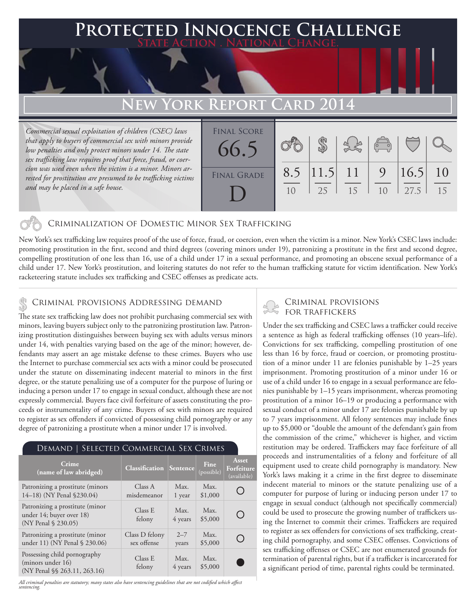## **FED INNOCENCE CHALLENGE State Action . National Change.**

# **New York Report Card 2014**

*Commercial sexual exploitation of children (CSEC) laws that apply to buyers of commercial sex with minors provide low penalties and only protect minors under 14. The state sex trafficking law requires proof that force, fraud, or coercion was used even when the victim is a minor. Minors arrested for prostitution are presumed to be trafficking victims and may be placed in a safe house.*

| <b>FINAL SCORE</b><br>66.5 |     |                   |    | $\begin{pmatrix} 0 & 0 \\ 0 & 0 \end{pmatrix}$ |              |          |
|----------------------------|-----|-------------------|----|------------------------------------------------|--------------|----------|
| <b>FINAL GRADE</b>         | 8.5 | $ 11.5 $ 11<br>25 | 15 | 9<br>1 <sub>0</sub>                            | 16.5<br>27.5 | 10<br>15 |

#### Criminalization of Domestic Minor Sex Trafficking

New York's sex trafficking law requires proof of the use of force, fraud, or coercion, even when the victim is a minor. New York's CSEC laws include: promoting prostitution in the first, second and third degrees (covering minors under 19), patronizing a prostitute in the first and second degree, compelling prostitution of one less than 16, use of a child under 17 in a sexual performance, and promoting an obscene sexual performance of a child under 17. New York's prostitution, and loitering statutes do not refer to the human trafficking statute for victim identification. New York's racketeering statute includes sex trafficking and CSEC offenses as predicate acts.

#### Criminal provisions Addressing demand \$

The state sex trafficking law does not prohibit purchasing commercial sex with minors, leaving buyers subject only to the patronizing prostitution law. Patronizing prostitution distinguishes between buying sex with adults versus minors under 14, with penalties varying based on the age of the minor; however, defendants may assert an age mistake defense to these crimes. Buyers who use the Internet to purchase commercial sex acts with a minor could be prosecuted under the statute on disseminating indecent material to minors in the first degree, or the statute penalizing use of a computer for the purpose of luring or inducing a person under 17 to engage in sexual conduct, although these are not expressly commercial. Buyers face civil forfeiture of assets constituting the proceeds or instrumentality of any crime. Buyers of sex with minors are required to register as sex offenders if convicted of possessing child pornography or any degree of patronizing a prostitute when a minor under 17 is involved.

### Demand | Selected Commercial Sex Crimes

| Crime<br>(name of law abridged)                                                    | <b>Classification Sentence</b> |                  | Fine<br>(possible) | <b>Asset</b><br>Forfeiture<br>(available) |
|------------------------------------------------------------------------------------|--------------------------------|------------------|--------------------|-------------------------------------------|
| Patronizing a prostitute (minors<br>14-18) (NY Penal §230.04)                      | Class A<br>misdemeanor         | Max.<br>1 year   | Max.<br>\$1,000    |                                           |
| Patronizing a prostitute (minor<br>under 14; buyer over 18)<br>(NY Penal § 230.05) | Class E<br>felony              | Max.<br>4 years  | Max.<br>\$5,000    | ( )                                       |
| Patronizing a prostitute (minor<br>under 11) (NY Penal § 230.06)                   | Class D felony<br>sex offense  | $2 - 7$<br>years | Max.<br>\$5,000    | ( )                                       |
| Possessing child pornography<br>(minors under 16)<br>(NY Penal §§ 263.11, 263.16)  | Class E<br>felony              | Max.<br>4 years  | Max.<br>\$5,000    |                                           |

*All criminal penalties are statutory; many states also have sentencing guidelines that are not codified which affect sentencing.* 

### Criminal provisions for traffickers

Under the sex trafficking and CSEC laws a trafficker could receive a sentence as high as federal trafficking offenses (10 years–life). Convictions for sex trafficking, compelling prostitution of one less than 16 by force, fraud or coercion, or promoting prostitution of a minor under 11 are felonies punishable by 1–25 years imprisonment. Promoting prostitution of a minor under 16 or use of a child under 16 to engage in a sexual performance are felonies punishable by 1–15 years imprisonment, whereas promoting prostitution of a minor 16–19 or producing a performance with sexual conduct of a minor under 17 are felonies punishable by up to 7 years imprisonment. All felony sentences may include fines up to \$5,000 or "double the amount of the defendant's gain from the commission of the crime," whichever is higher, and victim restitution may be ordered. Traffickers may face forfeiture of all proceeds and instrumentalities of a felony and forfeiture of all equipment used to create child pornography is mandatory. New York's laws making it a crime in the first degree to disseminate indecent material to minors or the statute penalizing use of a computer for purpose of luring or inducing person under 17 to engage in sexual conduct (although not specifically commercial) could be used to prosecute the growing number of traffickers using the Internet to commit their crimes. Traffickers are required to register as sex offenders for convictions of sex trafficking, creating child pornography, and some CSEC offenses. Convictions of sex trafficking offenses or CSEC are not enumerated grounds for termination of parental rights, but if a trafficker is incarcerated for a significant period of time, parental rights could be terminated.